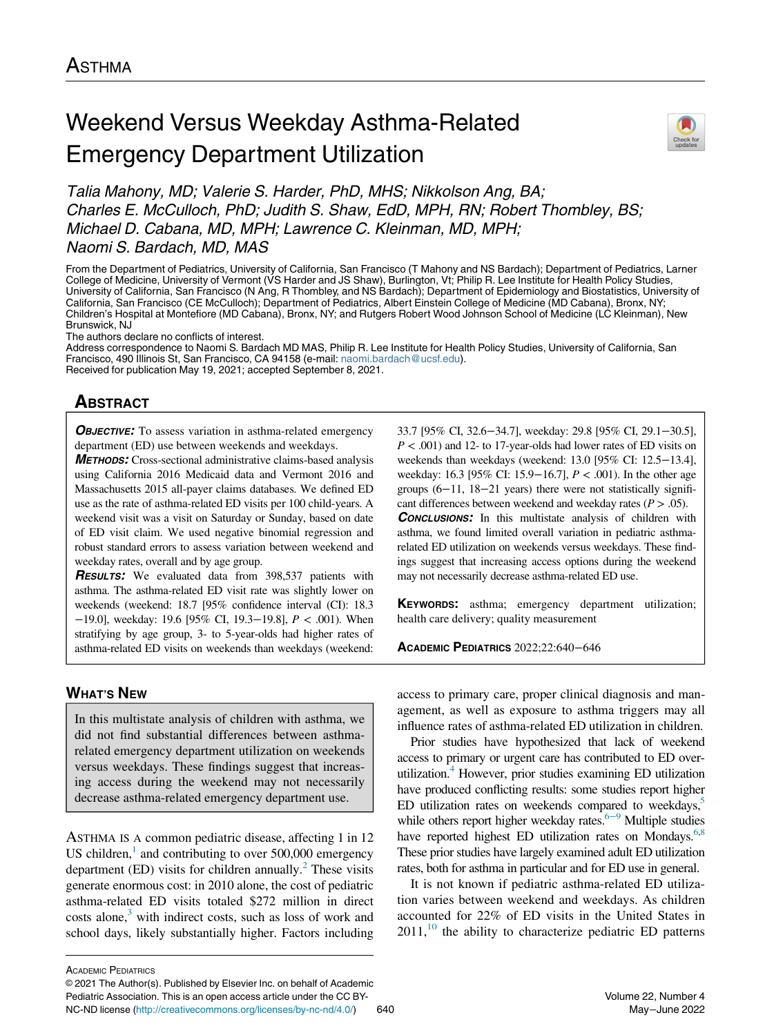# Weekend Versus Weekday Asthma-Related Emergency Department Utilization



Talia Mahony, MD; Valerie S. Harder, PhD, MHS; Nikkolson Ang, BA; Charles E. McCulloch, PhD; Judith S. Shaw, EdD, MPH, RN; Robert Thombley, BS; Michael D. Cabana, MD, MPH; Lawrence C. Kleinman, MD, MPH; Naomi S. Bardach, MD, MAS

From the Department of Pediatrics, University of California, San Francisco (T Mahony and NS Bardach); Department of Pediatrics, Larner College of Medicine, University of Vermont (VS Harder and JS Shaw), Burlington, Vt; Philip R. Lee Institute for Health Policy Studies, University of California, San Francisco (N Ang, R Thombley, and NS Bardach); Department of Epidemiology and Biostatistics, University of California, San Francisco (CE McCulloch); Department of Pediatrics, Albert Einstein College of Medicine (MD Cabana), Bronx, NY; Children's Hospital at Montefiore (MD Cabana), Bronx, NY; and Rutgers Robert Wood Johnson School of Medicine (LC Kleinman), New Brunswick, NJ

The authors declare no conflicts of interest.

Address correspondence to Naomi S. Bardach MD MAS, Philip R. Lee Institute for Health Policy Studies, University of California, San Francisco, 490 Illinois St, San Francisco, CA 94158 (e-mail: [naomi.bardach@ucsf.edu\)](mailto:naomi.bardach@ucsf.edu). Received for publication May 19, 2021; accepted September 8, 2021.

# $\frac{1}{\sqrt{2}}$

**OBJECTIVE:** To assess variation in asthma-related emergency department (ED) use between weekends and weekdays.

METHODS: Cross-sectional administrative claims-based analysis using California 2016 Medicaid data and Vermont 2016 and Massachusetts 2015 all-payer claims databases. We defined ED use as the rate of asthma-related ED visits per 100 child-years. A weekend visit was a visit on Saturday or Sunday, based on date of ED visit claim. We used negative binomial regression and robust standard errors to assess variation between weekend and weekday rates, overall and by age group.

**RESULTS:** We evaluated data from 398,537 patients with asthma. The asthma-related ED visit rate was slightly lower on weekends (weekend: 18.7 [95% confidence interval (CI): 18.3 −19.0], weekday: 19.6 [95% CI, 19.3−19.8], P < .001). When stratifying by age group, 3- to 5-year-olds had higher rates of asthma-related ED visits on weekends than weekdays (weekend:

### **WHAT'S NEW** <u>when the common</u>

In this multistate analysis of children with asthma, we did not find substantial differences between asthmarelated emergency department utilization on weekends versus weekdays. These findings suggest that increasing access during the weekend may not necessarily decrease asthma-related emergency department use.

ASTHMA IS A common pediatric disease, affecting 1 in 12 US children, $\frac{1}{1}$  $\frac{1}{1}$  $\frac{1}{1}$  and contributing to over 500,000 emergency department (ED) visits for children annually.<sup>[2](#page-5-1)</sup> These visits generate enormous cost: in 2010 alone, the cost of pediatric asthma-related ED visits totaled \$272 million in direct costs alone,<sup>3</sup> with indirect costs, such as loss of work and school days, likely substantially higher. Factors including

33.7 [95% CI, 32.6−34.7], weekday: 29.8 [95% CI, 29.1−30.5],  $P < .001$ ) and 12- to 17-year-olds had lower rates of ED visits on weekends than weekdays (weekend: 13.0 [95% CI: 12.5−13.4], weekday: 16.3 [95% CI: 15.9−16.7], P < .001). In the other age groups (6−11, 18−21 years) there were not statistically significant differences between weekend and weekday rates ( $P > .05$ ). **CONCLUSIONS:** In this multistate analysis of children with asthma, we found limited overall variation in pediatric asthmarelated ED utilization on weekends versus weekdays. These findings suggest that increasing access options during the weekend may not necessarily decrease asthma-related ED use.

KEYWORDS: asthma; emergency department utilization; health care delivery; quality measurement

ACADEMIC PEDIATRICS 2022;22:640−<sup>646</sup>

access to primary care, proper clinical diagnosis and management, as well as exposure to asthma triggers may all influence rates of asthma-related ED utilization in children.

Prior studies have hypothesized that lack of weekend access to primary or urgent care has contributed to ED overutilization.<sup>4</sup> However, prior studies examining ED utilization have produced conflicting results: some studies report higher ED utilization rates on weekends compared to weekdays, $5$ while others report higher weekday rates. $6-9$  Multiple studies have reported highest ED utilization rates on Mondays. $6,8$  $6,8$ These prior studies have largely examined adult ED utilization rates, both for asthma in particular and for ED use in general.

It is not known if pediatric asthma-related ED utilization varies between weekend and weekdays. As children accounted for 22% of ED visits in the United States in  $2011$ ,<sup>[10](#page-5-7)</sup> the ability to characterize pediatric ED patterns

ACADEMIC PEDIATRICS

<sup>©</sup> 2021 The Author(s). Published by Elsevier Inc. on behalf of Academic Pediatric Association. This is an open access article under the CC BY-NC-ND license [\(http://creativecommons.org/licenses/by-nc-nd/4.0/\)](http://creativecommons.org/licenses/by-nc-nd/4.0/) 640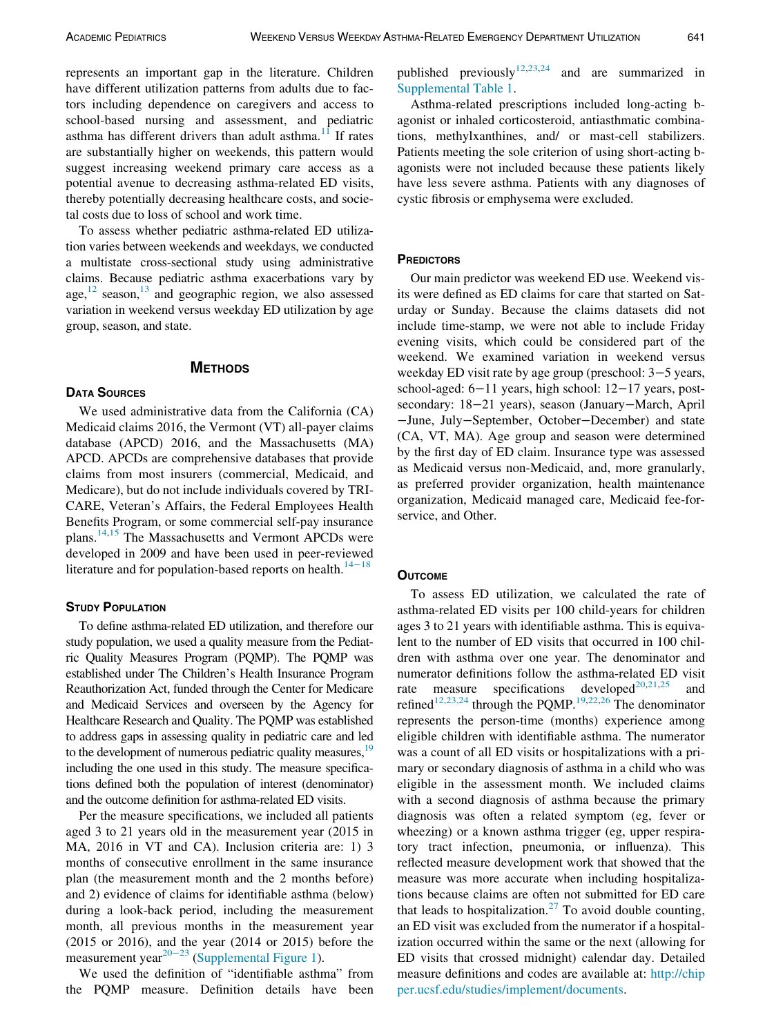represents an important gap in the literature. Children have different utilization patterns from adults due to factors including dependence on caregivers and access to school-based nursing and assessment, and pediatric asthma has different drivers than adult asthma.<sup>[11](#page-5-8)</sup> If rates are substantially higher on weekends, this pattern would suggest increasing weekend primary care access as a potential avenue to decreasing asthma-related ED visits, thereby potentially decreasing healthcare costs, and societal costs due to loss of school and work time.

To assess whether pediatric asthma-related ED utilization varies between weekends and weekdays, we conducted a multistate cross-sectional study using administrative claims. Because pediatric asthma exacerbations vary by age, $12$  season, $13$  and geographic region, we also assessed variation in weekend versus weekday ED utilization by age group, season, and state.

## METHODS

We used administrative data from the California (CA) Medicaid claims 2016, the Vermont (VT) all-payer claims database (APCD) 2016, and the Massachusetts (MA) APCD. APCDs are comprehensive databases that provide claims from most insurers (commercial, Medicaid, and Medicare), but do not include individuals covered by TRI-CARE, Veteran's Affairs, the Federal Employees Health Benefits Program, or some commercial self-pay insurance plans.<sup>14,[15](#page-5-12)</sup> The Massachusetts and Vermont APCDs were developed in 2009 and have been used in peer-reviewed literature and for population-based reports on health. $14-18$  $14-18$ 

### **STUDY POPULATION**

To define asthma-related ED utilization, and therefore our study population, we used a quality measure from the Pediatric Quality Measures Program (PQMP). The PQMP was established under The Children's Health Insurance Program Reauthorization Act, funded through the Center for Medicare and Medicaid Services and overseen by the Agency for Healthcare Research and Quality. The PQMP was established to address gaps in assessing quality in pediatric care and led to the development of numerous pediatric quality measures,<sup>19</sup> including the one used in this study. The measure specifications defined both the population of interest (denominator) and the outcome definition for asthma-related ED visits.

Per the measure specifications, we included all patients aged 3 to 21 years old in the measurement year (2015 in MA, 2016 in VT and CA). Inclusion criteria are: 1) 3 months of consecutive enrollment in the same insurance plan (the measurement month and the 2 months before) and 2) evidence of claims for identifiable asthma (below) during a look-back period, including the measurement month, all previous months in the measurement year (2015 or 2016), and the year (2014 or 2015) before the measurement year<sup>[20](#page-5-14)−23</sup> ([Supplemental Figure 1\)](#page-5-15).

We used the definition of "identifiable asthma" from the PQMP measure. Definition details have been published previously<sup>[12](#page-5-9)[,23,](#page-6-0)[24](#page-6-1)</sup> and are summarized in [Supplemental Table 1.](#page-5-15)

Asthma-related prescriptions included long-acting bagonist or inhaled corticosteroid, antiasthmatic combinations, methylxanthines, and/ or mast-cell stabilizers. Patients meeting the sole criterion of using short-acting bagonists were not included because these patients likely have less severe asthma. Patients with any diagnoses of cystic fibrosis or emphysema were excluded.

### **PREDICTORS**

Our main predictor was weekend ED use. Weekend visits were defined as ED claims for care that started on Saturday or Sunday. Because the claims datasets did not include time-stamp, we were not able to include Friday evening visits, which could be considered part of the weekend. We examined variation in weekend versus weekday ED visit rate by age group (preschool: 3−5 years, school-aged: 6−11 years, high school: 12−17 years, postsecondary: 18−21 years), season (January−March, April −June, July−September, October−December) and state (CA, VT, MA). Age group and season were determined by the first day of ED claim. Insurance type was assessed as Medicaid versus non-Medicaid, and, more granularly, as preferred provider organization, health maintenance organization, Medicaid managed care, Medicaid fee-forservice, and Other.

### **OUTCOME**

To assess ED utilization, we calculated the rate of asthma-related ED visits per 100 child-years for children ages 3 to 21 years with identifiable asthma. This is equivalent to the number of ED visits that occurred in 100 children with asthma over one year. The denominator and numerator definitions follow the asthma-related ED visit rate measure specifications developed<sup>[20,](#page-5-14)[21](#page-6-2)[,25](#page-6-3)</sup> and refined<sup>[12,23,24](#page-5-9)</sup> through the PQMP.<sup>[19,](#page-5-13)[22](#page-6-4),[26](#page-6-5)</sup> The denominator represents the person-time (months) experience among eligible children with identifiable asthma. The numerator was a count of all ED visits or hospitalizations with a primary or secondary diagnosis of asthma in a child who was eligible in the assessment month. We included claims with a second diagnosis of asthma because the primary diagnosis was often a related symptom (eg, fever or wheezing) or a known asthma trigger (eg, upper respiratory tract infection, pneumonia, or influenza). This reflected measure development work that showed that the measure was more accurate when including hospitalizations because claims are often not submitted for ED care that leads to hospitalization.<sup>[27](#page-6-6)</sup> To avoid double counting, an ED visit was excluded from the numerator if a hospitalization occurred within the same or the next (allowing for ED visits that crossed midnight) calendar day. Detailed measure definitions and codes are available at: [http://chip](http://chipper.ucsf.edu/studies/implement/documents) [per.ucsf.edu/studies/implement/documents](http://chipper.ucsf.edu/studies/implement/documents).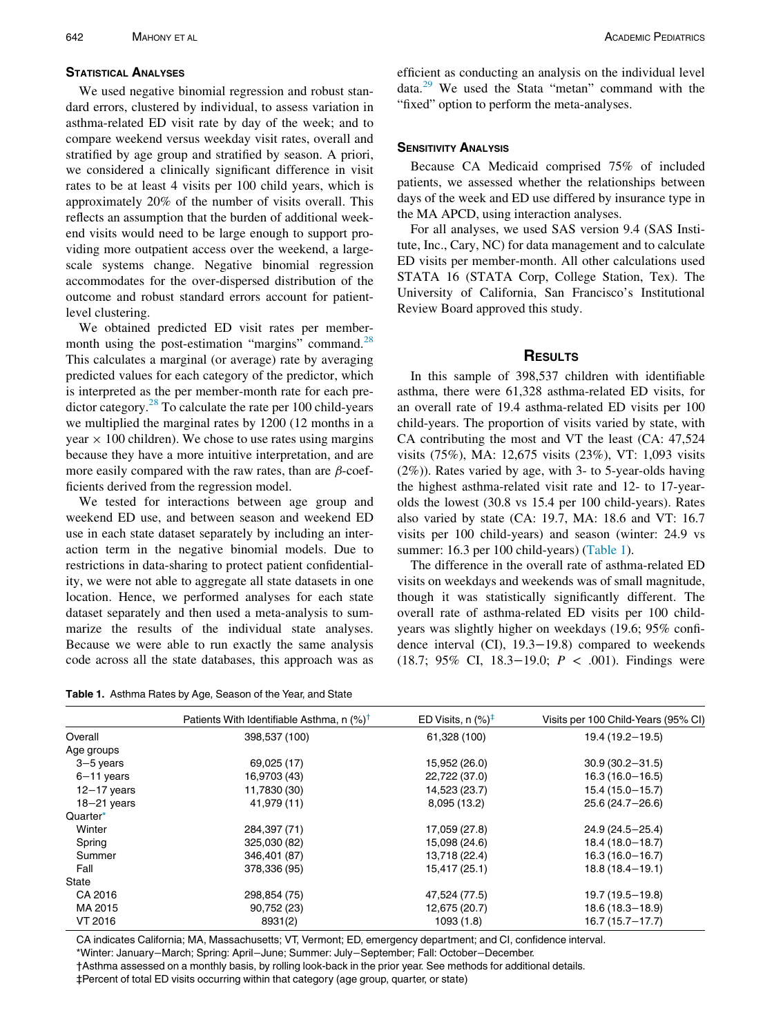We used negative binomial regression and robust standard errors, clustered by individual, to assess variation in asthma-related ED visit rate by day of the week; and to compare weekend versus weekday visit rates, overall and stratified by age group and stratified by season. A priori, we considered a clinically significant difference in visit rates to be at least 4 visits per 100 child years, which is approximately 20% of the number of visits overall. This reflects an assumption that the burden of additional weekend visits would need to be large enough to support providing more outpatient access over the weekend, a largescale systems change. Negative binomial regression accommodates for the over-dispersed distribution of the outcome and robust standard errors account for patientlevel clustering.

We obtained predicted ED visit rates per member-month using the post-estimation "margins" command.<sup>[28](#page-6-7)</sup> This calculates a marginal (or average) rate by averaging predicted values for each category of the predictor, which is interpreted as the per member-month rate for each predictor category.<sup>28</sup> To calculate the rate per 100 child-years we multiplied the marginal rates by 1200 (12 months in a year  $\times$  100 children). We chose to use rates using margins because they have a more intuitive interpretation, and are more easily compared with the raw rates, than are  $\beta$ -coefficients derived from the regression model.

We tested for interactions between age group and weekend ED use, and between season and weekend ED use in each state dataset separately by including an interaction term in the negative binomial models. Due to restrictions in data-sharing to protect patient confidentiality, we were not able to aggregate all state datasets in one location. Hence, we performed analyses for each state dataset separately and then used a meta-analysis to summarize the results of the individual state analyses. Because we were able to run exactly the same analysis code across all the state databases, this approach was as

<span id="page-2-0"></span>Table 1. Asthma Rates by Age, Season of the Year, and State

efficient as conducting an analysis on the individual level data.[29](#page-6-8) We used the Stata "metan" command with the "fixed" option to perform the meta-analyses.

Because CA Medicaid comprised 75% of included patients, we assessed whether the relationships between days of the week and ED use differed by insurance type in the MA APCD, using interaction analyses.

For all analyses, we used SAS version 9.4 (SAS Institute, Inc., Cary, NC) for data management and to calculate ED visits per member-month. All other calculations used STATA 16 (STATA Corp, College Station, Tex). The University of California, San Francisco's Institutional Review Board approved this study.

### **RESULTS**

In this sample of 398,537 children with identifiable asthma, there were 61,328 asthma-related ED visits, for an overall rate of 19.4 asthma-related ED visits per 100 child-years. The proportion of visits varied by state, with CA contributing the most and VT the least (CA: 47,524 visits (75%), MA: 12,675 visits (23%), VT: 1,093 visits (2%)). Rates varied by age, with 3- to 5-year-olds having the highest asthma-related visit rate and 12- to 17-yearolds the lowest (30.8 vs 15.4 per 100 child-years). Rates also varied by state (CA: 19.7, MA: 18.6 and VT: 16.7 visits per 100 child-years) and season (winter: 24.9 vs summer: 16.3 per 100 child-years) ([Table 1\)](#page-2-0).

The difference in the overall rate of asthma-related ED visits on weekdays and weekends was of small magnitude, though it was statistically significantly different. The overall rate of asthma-related ED visits per 100 childyears was slightly higher on weekdays (19.6; 95% confidence interval (CI), 19.3−19.8) compared to weekends (18.7; 95% CI, 18.3−19.0; P < .001). Findings were

|                 | Patients With Identifiable Asthma, n $(\%)^{\dagger}$ | ED Visits, $n$ (%) <sup>‡</sup> | Visits per 100 Child-Years (95% CI) |
|-----------------|-------------------------------------------------------|---------------------------------|-------------------------------------|
| Overall         | 398,537 (100)                                         | 61,328 (100)                    | $19.4(19.2-19.5)$                   |
| Age groups      |                                                       |                                 |                                     |
| 3-5 years       | 69,025 (17)                                           | 15,952 (26.0)                   | $30.9(30.2 - 31.5)$                 |
| $6 - 11$ years  | 16,9703 (43)                                          | 22,722 (37.0)                   | $16.3(16.0 - 16.5)$                 |
| $12 - 17$ years | 11,7830 (30)                                          | 14,523 (23.7)                   | $15.4(15.0 - 15.7)$                 |
| $18 - 21$ years | 41,979 (11)                                           | 8,095 (13.2)                    | $25.6(24.7 - 26.6)$                 |
| Quarter*        |                                                       |                                 |                                     |
| Winter          | 284,397 (71)                                          | 17,059 (27.8)                   | 24.9 (24.5-25.4)                    |
| Spring          | 325,030 (82)                                          | 15,098 (24.6)                   | $18.4(18.0 - 18.7)$                 |
| Summer          | 346,401 (87)                                          | 13,718 (22.4)                   | $16.3(16.0-16.7)$                   |
| Fall            | 378,336 (95)                                          | 15,417 (25.1)                   | $18.8(18.4 - 19.1)$                 |
| State           |                                                       |                                 |                                     |
| CA 2016         | 298,854 (75)                                          | 47,524 (77.5)                   | $19.7(19.5 - 19.8)$                 |
| MA 2015         | 90,752 (23)                                           | 12,675 (20.7)                   | $18.6(18.3 - 18.9)$                 |
| VT 2016         | 8931(2)                                               | 1093 (1.8)                      | $16.7(15.7 - 17.7)$                 |

<span id="page-2-2"></span><span id="page-2-1"></span>CA indicates California; MA, Massachusetts; VT, Vermont; ED, emergency department; and CI, confidence interval. \*Winter: January−March; Spring: April−June; Summer: July−September; Fall: October−December. †Asthma assessed on a monthly basis, by rolling look-back in the prior year. See methods for additional details. ‡Percent of total ED visits occurring within that category (age group, quarter, or state)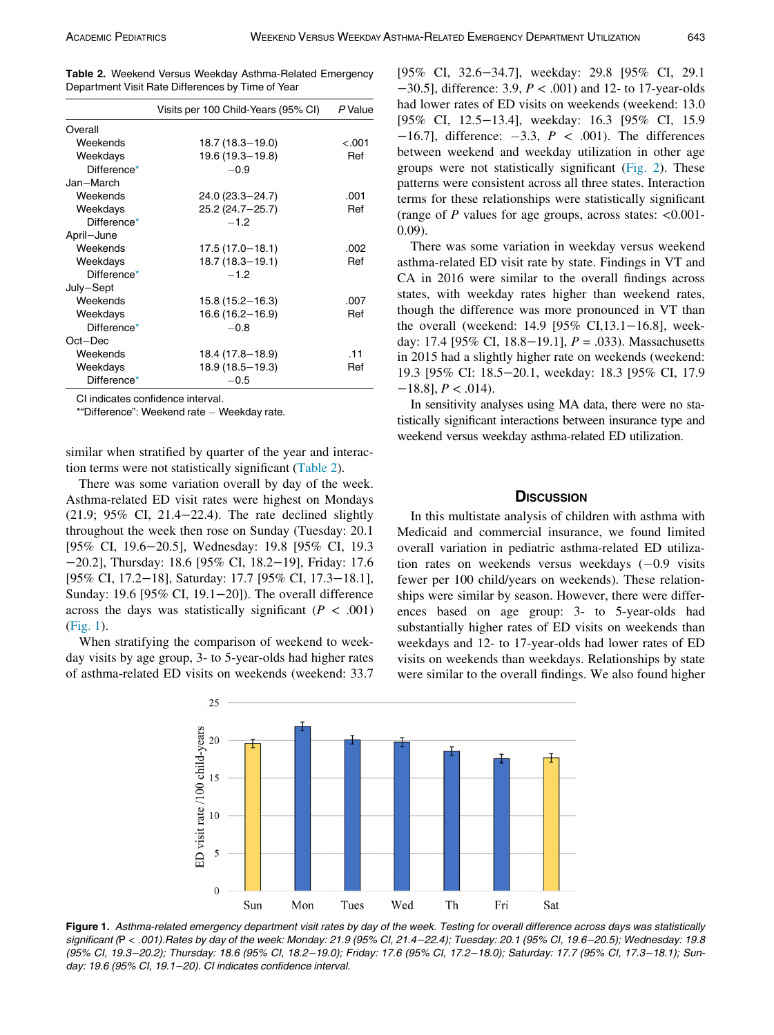<span id="page-3-0"></span>Table 2. Weekend Versus Weekday Asthma-Related Emergency Department Visit Rate Differences by Time of Year

|             | Visits per 100 Child-Years (95% CI) | P Value |
|-------------|-------------------------------------|---------|
| Overall     |                                     |         |
| Weekends    | 18.7 (18.3-19.0)                    | $-.001$ |
| Weekdays    | 19.6 (19.3-19.8)                    | Ref     |
| Difference* | $-0.9$                              |         |
| Jan-March   |                                     |         |
| Weekends    | 24.0 (23.3–24.7)                    | .001    |
| Weekdays    | 25.2 (24.7-25.7)                    | Ref     |
| Difference* | $-1.2$                              |         |
| April-June  |                                     |         |
| Weekends    | $17.5(17.0 - 18.1)$                 | .002    |
| Weekdays    | 18.7 (18.3-19.1)                    | Ref     |
| Difference* | $-1.2$                              |         |
| July-Sept   |                                     |         |
| Weekends    | $15.8(15.2 - 16.3)$                 | .007    |
| Weekdays    | $16.6(16.2 - 16.9)$                 | Ref     |
| Difference* | $-0.8$                              |         |
| Oct-Dec     |                                     |         |
| Weekends    | 18.4 (17.8–18.9)                    | .11     |
| Weekdays    | $18.9(18.5 - 19.3)$                 | Ref     |
| Difference* | $-0.5$                              |         |

<span id="page-3-2"></span>CI indicates confidence interval.

\*"Difference": Weekend rate - Weekday rate.

similar when stratified by quarter of the year and interaction terms were not statistically significant ([Table 2\)](#page-3-0).

There was some variation overall by day of the week. Asthma-related ED visit rates were highest on Mondays (21.9; 95% CI, 21.4−22.4). The rate declined slightly throughout the week then rose on Sunday (Tuesday: 20.1 [95% CI, 19.6−20.5], Wednesday: 19.8 [95% CI, 19.3 −20.2], Thursday: 18.6 [95% CI, 18.2−19], Friday: 17.6 [95% CI, 17.2−18], Saturday: 17.7 [95% CI, 17.3−18.1], Sunday: 19.6 [95% CI, 19.1−20]). The overall difference across the days was statistically significant ( $P < .001$ ) [\(Fig. 1](#page-3-1)).

<span id="page-3-1"></span>When stratifying the comparison of weekend to weekday visits by age group, 3- to 5-year-olds had higher rates of asthma-related ED visits on weekends (weekend: 33.7

[95% CI, 32.6−34.7], weekday: 29.8 [95% CI, 29.1 −30.5], difference: 3.9, P < .001) and 12- to 17-year-olds had lower rates of ED visits on weekends (weekend: 13.0 [95% CI, 12.5−13.4], weekday: 16.3 [95% CI, 15.9  $-16.7$ ], difference:  $-3.3$ ,  $P < .001$ ). The differences between weekend and weekday utilization in other age groups were not statistically significant [\(Fig. 2\)](#page-4-0). These patterns were consistent across all three states. Interaction terms for these relationships were statistically significant (range of  $P$  values for age groups, across states: <0.001-0.09).

There was some variation in weekday versus weekend asthma-related ED visit rate by state. Findings in VT and CA in 2016 were similar to the overall findings across states, with weekday rates higher than weekend rates, though the difference was more pronounced in VT than the overall (weekend: 14.9 [95% CI,13.1−16.8], weekday: 17.4 [95% CI, 18.8–19.1],  $P = .033$ ). Massachusetts in 2015 had a slightly higher rate on weekends (weekend: 19.3 [95% CI: 18.5−20.1, weekday: 18.3 [95% CI, 17.9  $-18.8$ ],  $P < .014$ ).

In sensitivity analyses using MA data, there were no statistically significant interactions between insurance type and weekend versus weekday asthma-related ED utilization.

### **DISCUSSION**

In this multistate analysis of children with asthma with Medicaid and commercial insurance, we found limited overall variation in pediatric asthma-related ED utilization rates on weekends versus weekdays  $(-0.9 \text{ visits})$ fewer per 100 child/years on weekends). These relationships were similar by season. However, there were differences based on age group: 3- to 5-year-olds had substantially higher rates of ED visits on weekends than weekdays and 12- to 17-year-olds had lower rates of ED visits on weekends than weekdays. Relationships by state were similar to the overall findings. We also found higher



Figure 1. Asthma-related emergency department visit rates by day of the week. Testing for overall difference across days was statistically significant (P < .001).Rates by day of the week: Monday: 21.9 (95% CI, 21.4−22.4); Tuesday: 20.1 (95% CI, 19.6−20.5); Wednesday: 19.8 (95% CI, 19.3−20.2); Thursday: 18.6 (95% CI, 18.2−19.0); Friday: 17.6 (95% CI, 17.2−18.0); Saturday: 17.7 (95% CI, 17.3−18.1); Sunday: 19.6 (95% CI, 19.1−20). CI indicates confidence interval.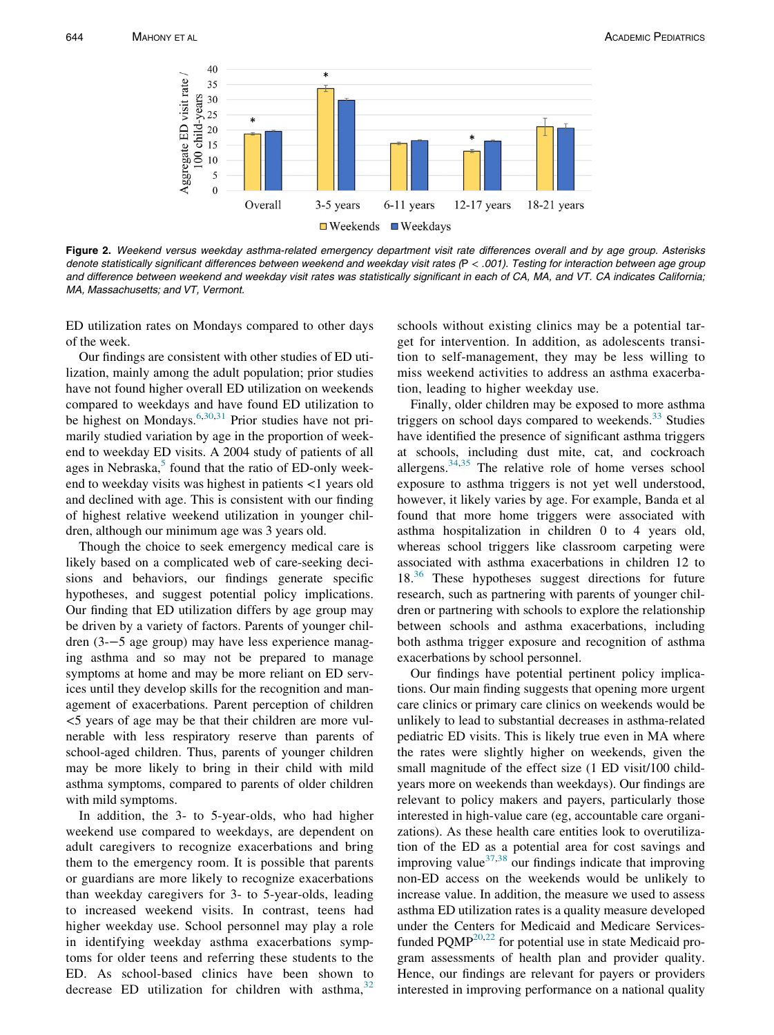<span id="page-4-0"></span>

Figure 2. Weekend versus weekday asthma-related emergency department visit rate differences overall and by age group. Asterisks denote statistically significant differences between weekend and weekday visit rates (P < .001). Testing for interaction between age group and difference between weekend and weekday visit rates was statistically significant in each of CA, MA, and VT. CA indicates California; MA, Massachusetts; and VT, Vermont.

ED utilization rates on Mondays compared to other days of the week.

Our findings are consistent with other studies of ED utilization, mainly among the adult population; prior studies have not found higher overall ED utilization on weekends compared to weekdays and have found ED utilization to be highest on Mondays.<sup>6,[30](#page-6-9)[,31](#page-6-10)</sup> Prior studies have not primarily studied variation by age in the proportion of weekend to weekday ED visits. A 2004 study of patients of all ages in Nebraska, $5$  found that the ratio of ED-only weekend to weekday visits was highest in patients <1 years old and declined with age. This is consistent with our finding of highest relative weekend utilization in younger children, although our minimum age was 3 years old.

Though the choice to seek emergency medical care is likely based on a complicated web of care-seeking decisions and behaviors, our findings generate specific hypotheses, and suggest potential policy implications. Our finding that ED utilization differs by age group may be driven by a variety of factors. Parents of younger children (3-−5 age group) may have less experience managing asthma and so may not be prepared to manage symptoms at home and may be more reliant on ED services until they develop skills for the recognition and management of exacerbations. Parent perception of children <5 years of age may be that their children are more vulnerable with less respiratory reserve than parents of school-aged children. Thus, parents of younger children may be more likely to bring in their child with mild asthma symptoms, compared to parents of older children with mild symptoms.

In addition, the 3- to 5-year-olds, who had higher weekend use compared to weekdays, are dependent on adult caregivers to recognize exacerbations and bring them to the emergency room. It is possible that parents or guardians are more likely to recognize exacerbations than weekday caregivers for 3- to 5-year-olds, leading to increased weekend visits. In contrast, teens had higher weekday use. School personnel may play a role in identifying weekday asthma exacerbations symptoms for older teens and referring these students to the ED. As school-based clinics have been shown to decrease ED utilization for children with asthma, $32$  schools without existing clinics may be a potential target for intervention. In addition, as adolescents transition to self-management, they may be less willing to miss weekend activities to address an asthma exacerbation, leading to higher weekday use.

Finally, older children may be exposed to more asthma triggers on school days compared to weekends.<sup>[33](#page-6-12)</sup> Studies have identified the presence of significant asthma triggers at schools, including dust mite, cat, and cockroach allergens.[34](#page-6-13)[,35](#page-6-14) The relative role of home verses school exposure to asthma triggers is not yet well understood, however, it likely varies by age. For example, Banda et al found that more home triggers were associated with asthma hospitalization in children 0 to 4 years old, whereas school triggers like classroom carpeting were associated with asthma exacerbations in children 12 to  $18.<sup>36</sup>$  $18.<sup>36</sup>$  $18.<sup>36</sup>$  These hypotheses suggest directions for future research, such as partnering with parents of younger children or partnering with schools to explore the relationship between schools and asthma exacerbations, including both asthma trigger exposure and recognition of asthma exacerbations by school personnel.

Our findings have potential pertinent policy implications. Our main finding suggests that opening more urgent care clinics or primary care clinics on weekends would be unlikely to lead to substantial decreases in asthma-related pediatric ED visits. This is likely true even in MA where the rates were slightly higher on weekends, given the small magnitude of the effect size (1 ED visit/100 childyears more on weekends than weekdays). Our findings are relevant to policy makers and payers, particularly those interested in high-value care (eg, accountable care organizations). As these health care entities look to overutilization of the ED as a potential area for cost savings and improving value $^{37,38}$  $^{37,38}$  $^{37,38}$  $^{37,38}$  our findings indicate that improving non-ED access on the weekends would be unlikely to increase value. In addition, the measure we used to assess asthma ED utilization rates is a quality measure developed under the Centers for Medicaid and Medicare Servicesfunded  $PQMP^{20,22}$  $PQMP^{20,22}$  $PQMP^{20,22}$  $PQMP^{20,22}$  $PQMP^{20,22}$  for potential use in state Medicaid program assessments of health plan and provider quality. Hence, our findings are relevant for payers or providers interested in improving performance on a national quality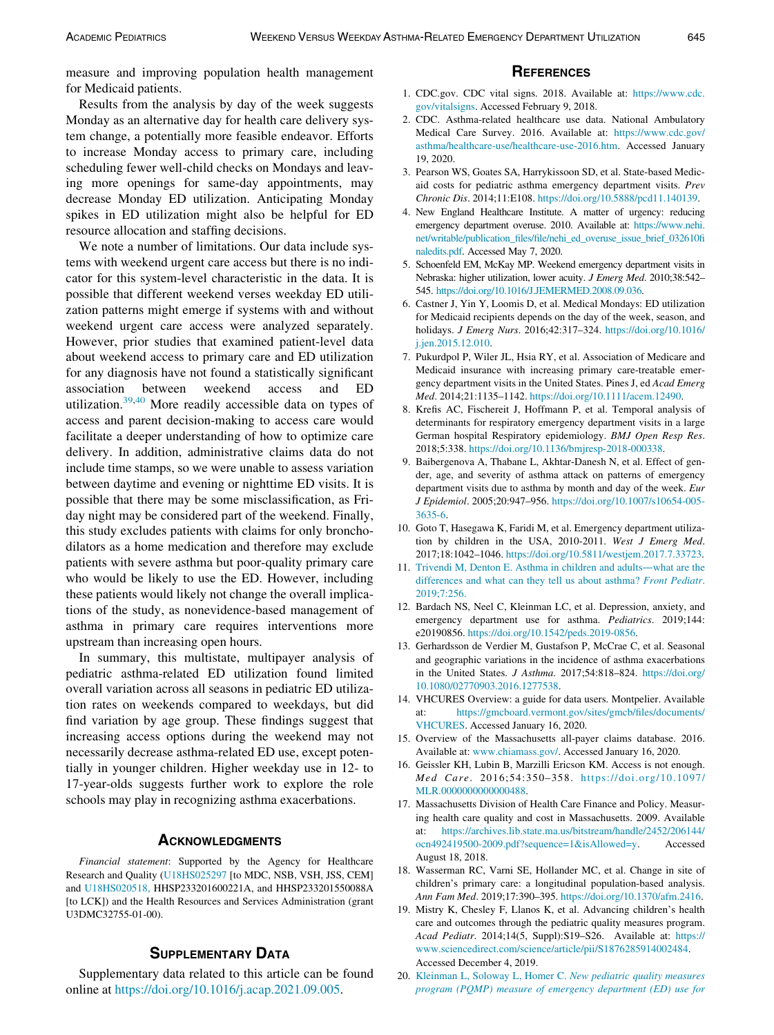measure and improving population health management for Medicaid patients.

### <span id="page-5-2"></span><span id="page-5-1"></span><span id="page-5-0"></span>Results from the analysis by day of the week suggests Monday as an alternative day for health care delivery system change, a potentially more feasible endeavor. Efforts to increase Monday access to primary care, including scheduling fewer well-child checks on Mondays and leaving more openings for same-day appointments, may decrease Monday ED utilization. Anticipating Monday spikes in ED utilization might also be helpful for ED resource allocation and staffing decisions.

<span id="page-5-6"></span><span id="page-5-5"></span><span id="page-5-4"></span><span id="page-5-3"></span>We note a number of limitations. Our data include systems with weekend urgent care access but there is no indicator for this system-level characteristic in the data. It is possible that different weekend verses weekday ED utilization patterns might emerge if systems with and without weekend urgent care access were analyzed separately. However, prior studies that examined patient-level data about weekend access to primary care and ED utilization for any diagnosis have not found a statistically significant association between weekend access and ED utilization.[39](#page-6-18)[,40](#page-6-19) More readily accessible data on types of access and parent decision-making to access care would facilitate a deeper understanding of how to optimize care delivery. In addition, administrative claims data do not include time stamps, so we were unable to assess variation between daytime and evening or nighttime ED visits. It is possible that there may be some misclassification, as Friday night may be considered part of the weekend. Finally, this study excludes patients with claims for only bronchodilators as a home medication and therefore may exclude patients with severe asthma but poor-quality primary care who would be likely to use the ED. However, including these patients would likely not change the overall implications of the study, as nonevidence-based management of asthma in primary care requires interventions more upstream than increasing open hours.

<span id="page-5-12"></span><span id="page-5-11"></span><span id="page-5-10"></span><span id="page-5-9"></span><span id="page-5-8"></span><span id="page-5-7"></span>In summary, this multistate, multipayer analysis of pediatric asthma-related ED utilization found limited overall variation across all seasons in pediatric ED utilization rates on weekends compared to weekdays, but did find variation by age group. These findings suggest that increasing access options during the weekend may not necessarily decrease asthma-related ED use, except potentially in younger children. Higher weekday use in 12- to 17-year-olds suggests further work to explore the role schools may play in recognizing asthma exacerbations.

<span id="page-5-16"></span><span id="page-5-13"></span>Financial statement: Supported by the Agency for Healthcare Research and Quality ([U18HS025297](#page-5-16) [to MDC, NSB, VSH, JSS, CEM] and [U18HS020518,](#page-5-16) HHSP233201600221A, and HHSP233201550088A [to LCK]) and the Health Resources and Services Administration (grant U3DMC32755-01-00).

<span id="page-5-15"></span><span id="page-5-14"></span>Supplementary data related to this article can be found online at <https://doi.org/10.1016/j.acap.2021.09.005>.

- 1. CDC.gov. CDC vital signs. 2018. Available at: [https://www.cdc.](https://www.cdc.gov/vitalsigns) [gov/vitalsigns](https://www.cdc.gov/vitalsigns). Accessed February 9, 2018.
- 2. CDC. Asthma-related healthcare use data. National Ambulatory Medical Care Survey. 2016. Available at: [https://www.cdc.gov/](https://www.cdc.gov/asthma/healthcare-use/healthcare-use-2016.htm) [asthma/healthcare-use/healthcare-use-2016.htm.](https://www.cdc.gov/asthma/healthcare-use/healthcare-use-2016.htm) Accessed January 19, 2020.
- 3. Pearson WS, Goates SA, Harrykissoon SD, et al. State-based Medicaid costs for pediatric asthma emergency department visits. Prev Chronic Dis. 2014;11:E108. <https://doi.org/10.5888/pcd11.140139>.
- 4. New England Healthcare Institute. A matter of urgency: reducing emergency department overuse. 2010. Available at: [https://www.nehi.](https://www.nehi.net/writable/publication_files/file/nehi_ed_overuse_issue_brief_032610finaledits.pdf) [net/writable/publication\\_files/file/nehi\\_ed\\_overuse\\_issue\\_brief\\_032610fi](https://www.nehi.net/writable/publication_files/file/nehi_ed_overuse_issue_brief_032610finaledits.pdf) [naledits.pdf](https://www.nehi.net/writable/publication_files/file/nehi_ed_overuse_issue_brief_032610finaledits.pdf). Accessed May 7, 2020.
- 5. Schoenfeld EM, McKay MP. Weekend emergency department visits in Nebraska: higher utilization, lower acuity. J Emerg Med. 2010;38:542– 545. <https://doi.org/10.1016/J.JEMERMED.2008.09.036>.
- 6. Castner J, Yin Y, Loomis D, et al. Medical Mondays: ED utilization for Medicaid recipients depends on the day of the week, season, and holidays. J Emerg Nurs. 2016;42:317–324. [https://doi.org/10.1016/](https://doi.org/10.1016/j.jen.2015.12.010) [j.jen.2015.12.010](https://doi.org/10.1016/j.jen.2015.12.010).
- 7. Pukurdpol P, Wiler JL, Hsia RY, et al. Association of Medicare and Medicaid insurance with increasing primary care-treatable emergency department visits in the United States. Pines J, ed Acad Emerg Med. 2014;21:1135–1142. [https://doi.org/10.1111/acem.12490.](https://doi.org/10.1111/acem.12490)
- 8. Krefis AC, Fischereit J, Hoffmann P, et al. Temporal analysis of determinants for respiratory emergency department visits in a large German hospital Respiratory epidemiology. BMJ Open Resp Res. 2018;5:338. [https://doi.org/10.1136/bmjresp-2018-000338.](https://doi.org/10.1136/bmjresp-2018-000338)
- 9. Baibergenova A, Thabane L, Akhtar-Danesh N, et al. Effect of gender, age, and severity of asthma attack on patterns of emergency department visits due to asthma by month and day of the week. Eur J Epidemiol. 2005;20:947–956. [https://doi.org/10.1007/s10654-005-](https://doi.org/10.1007/s10654-005-3635-6) [3635-6.](https://doi.org/10.1007/s10654-005-3635-6)
- 10. Goto T, Hasegawa K, Faridi M, et al. Emergency department utilization by children in the USA, 2010-2011. West J Emerg Med. 2017;18:1042–1046. <https://doi.org/10.5811/westjem.2017.7.33723>.
- 11. [Trivendi M, Denton E. Asthma in children and adults](http://refhub.elsevier.com/S1876-2859(21)00447-2/sbref0011)—what are the [differences and what can they tell us about asthma?](http://refhub.elsevier.com/S1876-2859(21)00447-2/sbref0011) Front Pediatr. [2019;7:256.](http://refhub.elsevier.com/S1876-2859(21)00447-2/sbref0011)
- 12. Bardach NS, Neel C, Kleinman LC, et al. Depression, anxiety, and emergency department use for asthma. Pediatrics. 2019;144: e20190856. <https://doi.org/10.1542/peds.2019-0856>.
- 13. Gerhardsson de Verdier M, Gustafson P, McCrae C, et al. Seasonal and geographic variations in the incidence of asthma exacerbations in the United States. J Asthma. 2017;54:818–824. [https://doi.org/](https://doi.org/10.1080/02770903.2016.1277538) [10.1080/02770903.2016.1277538](https://doi.org/10.1080/02770903.2016.1277538).
- 14. VHCURES Overview: a guide for data users. Montpelier. Available at: [https://gmcboard.vermont.gov/sites/gmcb/files/documents/](https://gmcboard.vermont.gov/sites/gmcb/files/documents/VHCURES) [VHCURES](https://gmcboard.vermont.gov/sites/gmcb/files/documents/VHCURES). Accessed January 16, 2020.
- 15. Overview of the Massachusetts all-payer claims database. 2016. Available at: [www.chiamass.gov/](https://www.chiamass.gov/). Accessed January 16, 2020.
- 16. Geissler KH, Lubin B, Marzilli Ericson KM. Access is not enough. Med Care. 2016;54:350–358. [https://doi.org/10.1097/](https://doi.org/10.1097/MLR.0000000000000488) [MLR.0000000000000488](https://doi.org/10.1097/MLR.0000000000000488).
- 17. Massachusetts Division of Health Care Finance and Policy. Measuring health care quality and cost in Massachusetts. 2009. Available at: [https://archives.lib.state.ma.us/bitstream/handle/2452/206144/](https://archives.lib.state.ma.us/bitstream/handle/2452/206144/ocn492419500-2009.pdf?sequence=1&isAllowed=y) [ocn492419500-2009.pdf?sequence=1&isAllowed=y.](https://archives.lib.state.ma.us/bitstream/handle/2452/206144/ocn492419500-2009.pdf?sequence=1&isAllowed=y) Accessed August 18, 2018.
- 18. Wasserman RC, Varni SE, Hollander MC, et al. Change in site of children's primary care: a longitudinal population-based analysis. Ann Fam Med. 2019;17:390–395. [https://doi.org/10.1370/afm.2416.](https://doi.org/10.1370/afm.2416)
- 19. Mistry K, Chesley F, Llanos K, et al. Advancing children's health care and outcomes through the pediatric quality measures program. Acad Pediatr. 2014;14(5, Suppl):S19–S26. Available at: [https://](https://www.sciencedirect.com/science/article/pii/S1876285914002484) [www.sciencedirect.com/science/article/pii/S1876285914002484](https://www.sciencedirect.com/science/article/pii/S1876285914002484). Accessed December 4, 2019.
- 20. [Kleinman L, Soloway L, Homer C.](http://refhub.elsevier.com/S1876-2859(21)00447-2/sbref0020) New pediatric quality measures [program \(PQMP\) measure of emergency department \(ED\) use for](http://refhub.elsevier.com/S1876-2859(21)00447-2/sbref0020)